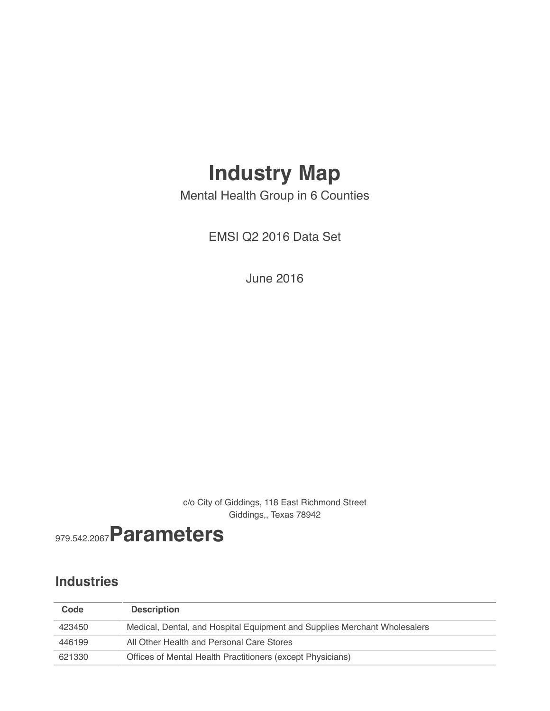## **Industry Map**

Mental Health Group in 6 Counties

EMSI Q2 2016 Data Set

June 2016

c/o City of Giddings, 118 East Richmond Street Giddings,, Texas 78942



### **Industries**

| Code   | <b>Description</b>                                                        |
|--------|---------------------------------------------------------------------------|
| 423450 | Medical, Dental, and Hospital Equipment and Supplies Merchant Wholesalers |
| 446199 | All Other Health and Personal Care Stores                                 |
| 621330 | Offices of Mental Health Practitioners (except Physicians)                |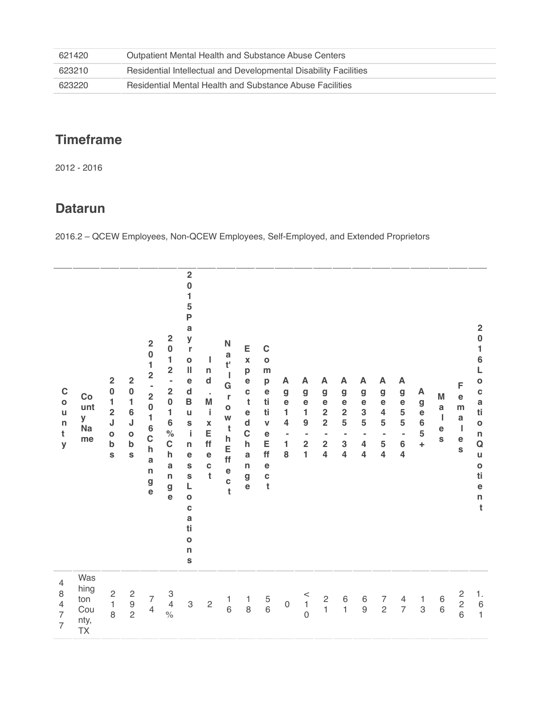| 621420 | Outpatient Mental Health and Substance Abuse Centers             |
|--------|------------------------------------------------------------------|
| 623210 | Residential Intellectual and Developmental Disability Facilities |
| 623220 | Residential Mental Health and Substance Abuse Facilities         |

## **Timeframe**

2012 - 2016

#### **Datarun**

2016.2 – QCEW Employees, Non-QCEW Employees, Self-Employed, and Extended Proprietors

| $\mathbf C$<br>$\bullet$<br>$\mathsf{u}$<br>n<br>t<br>y                   | Co<br>unt<br>У<br><b>Na</b><br>me       | $\overline{\mathbf{2}}$<br>$\bf{0}$<br>$\mathbf{1}$<br>$\overline{\mathbf{c}}$<br>J<br>$\mathbf{o}$<br>b<br>S | $\overline{\mathbf{2}}$<br>$\bf{0}$<br>$\mathbf{1}$<br>$6\phantom{a}$<br>J<br>$\mathbf{o}$<br>$\mathbf b$<br>S | $\overline{\mathbf{c}}$<br>$\begin{array}{c} 0 \\ 1 \\ 2 \end{array}$<br>$\frac{1}{2}$<br>$\mathbf{1}$<br>6<br>$\mathbf C$<br>$\mathsf{h}$<br>a<br>$\mathsf{n}$<br>g<br>e | $\overline{\mathbf{c}}$<br>$\bf{0}$<br>$\mathbf{1}$<br>$\overline{\mathbf{c}}$<br>$\blacksquare$<br>$\overline{\mathbf{c}}$<br>$\bf{0}$<br>1<br>$\bf 6$<br>$\%$<br>$\mathbf C$<br>$\mathsf{h}$<br>a<br>$\mathsf{n}$<br>g<br>$\ddot{\textbf{e}}$ | $\overline{\mathbf{2}}$<br>$\bf{0}$<br>1<br>5<br>P<br>a<br>y<br>$\mathbf r$<br>$\mathbf{o}$<br>$\label{eq:1} \prod_{i=1}^n \mathbb{I}_i$<br>$\mathbf e$<br>$\mathsf{d}$<br>$\, {\bf B}$<br>$\mathsf{u}$<br>S<br>j.<br>$\mathsf{n}$<br>е<br>S<br>$\mathbf s$<br>L<br>$\mathbf{o}$<br>C<br>a<br>ti<br>$\mathbf{o}$<br>$\mathsf{n}$<br>S | I<br>n<br>$\operatorname{\mathsf{d}}$<br>$\epsilon$<br>M<br>j,<br>$\pmb{\mathsf{X}}$<br>E<br>ff<br>$\mathbf e$<br>C<br>$\mathbf t$ | N<br>a<br>$\mathfrak{t}^{\scriptscriptstyle \text{I}}$<br>$\overline{1}$<br>G<br>r<br>$\mathbf 0$<br>W<br>t<br>$\mathsf{h}$<br>E<br>ff<br>$rac{e}{t}$ | E<br>$\pmb{\mathsf{X}}$<br>p<br>e<br>$\mathbf{C}$<br>t<br>e<br>$\mathbf d$<br>$\mathbf C$<br>$\mathsf{h}$<br>a<br>$\mathsf{n}$<br>g<br>$\mathbf e$ | $\mathbf C$<br>$\mathbf{o}$<br>m<br>$\boldsymbol{\mathsf{p}}$<br>$\mathbf e$<br>ti<br>ti<br>$\pmb{\mathsf{V}}$<br>e<br>E<br>ff<br>e<br>$\mathbf c$<br>$\mathfrak t$ | A<br>$\mathbf g$<br>$\mathbf e$<br>1<br>4<br>$\overline{\phantom{a}}$<br>1<br>8 | A<br>g<br>$\mathbf e$<br>1<br>$\boldsymbol{9}$<br>$\blacksquare$<br>$\overline{2}$<br>$\mathbf{1}$ | A<br>g<br>$\mathbf e$<br>$\overline{\mathbf{2}}$<br>$\overline{2}$<br>$\blacksquare$<br>$\overline{\mathbf{2}}$<br>$\overline{\mathbf{4}}$ | A<br>g<br>e<br>$\overline{\mathbf{2}}$<br>5<br>٠<br>3<br>$\overline{\mathbf{4}}$ | A<br>$\boldsymbol{g}$<br>e<br>3<br>5<br>$\blacksquare$<br>$\overline{\mathbf{4}}$<br>4 | A<br>$\boldsymbol{g}$<br>e<br>$\overline{\mathbf{4}}$<br>5<br>$\blacksquare$<br>5<br>$\overline{\mathbf{4}}$ | A<br>$\boldsymbol{g}$<br>$\mathbf e$<br>$\mathbf 5$<br>$\mathbf 5$<br>$\qquad \qquad \blacksquare$<br>$\boldsymbol{6}$<br>$\overline{\mathbf{4}}$ | A<br>$\boldsymbol{g}$<br>$\mathbf e$<br>$\bf 6$<br>5<br>$\ddot{}$ | M<br>a<br>J.<br>$\mathbf e$<br>S      | F<br>$\mathbf e$<br>m<br>$\mathbf a$<br>$\mathbf{I}$<br>$\mathbf e$<br>S | $\overline{\mathbf{2}}$<br>$\bf{0}$<br>$\mathbf{1}$<br>$\overline{6}$<br>L<br>$\bullet$<br>$\mathbf c$<br>a<br>ti<br>$\mathbf{o}$<br>n<br>Q<br>$\mathsf{u}$<br>$\circ$<br>ti<br>$\mathbf e$<br>$\sf n$<br>$\mathbf t$ |
|---------------------------------------------------------------------------|-----------------------------------------|---------------------------------------------------------------------------------------------------------------|----------------------------------------------------------------------------------------------------------------|---------------------------------------------------------------------------------------------------------------------------------------------------------------------------|-------------------------------------------------------------------------------------------------------------------------------------------------------------------------------------------------------------------------------------------------|---------------------------------------------------------------------------------------------------------------------------------------------------------------------------------------------------------------------------------------------------------------------------------------------------------------------------------------|------------------------------------------------------------------------------------------------------------------------------------|-------------------------------------------------------------------------------------------------------------------------------------------------------|----------------------------------------------------------------------------------------------------------------------------------------------------|---------------------------------------------------------------------------------------------------------------------------------------------------------------------|---------------------------------------------------------------------------------|----------------------------------------------------------------------------------------------------|--------------------------------------------------------------------------------------------------------------------------------------------|----------------------------------------------------------------------------------|----------------------------------------------------------------------------------------|--------------------------------------------------------------------------------------------------------------|---------------------------------------------------------------------------------------------------------------------------------------------------|-------------------------------------------------------------------|---------------------------------------|--------------------------------------------------------------------------|-----------------------------------------------------------------------------------------------------------------------------------------------------------------------------------------------------------------------|
| $\overline{4}$<br>8<br>$\overline{4}$<br>$\overline{7}$<br>$\overline{7}$ | Was<br>hing<br>ton<br>Cou<br>nty,<br>TX | $\begin{array}{c} 2 \\ 1 \end{array}$<br>8                                                                    | $\begin{array}{c} 2 \\ 9 \\ 2 \end{array}$                                                                     | $\begin{array}{c} 7 \\ 4 \end{array}$                                                                                                                                     | $\frac{3}{4}$<br>$\frac{1}{2}$                                                                                                                                                                                                                  | $\ensuremath{\mathsf{3}}$                                                                                                                                                                                                                                                                                                             | $\sqrt{2}$                                                                                                                         | $\begin{array}{c} 1 \\ 6 \end{array}$                                                                                                                 | $\begin{array}{c} 1 \\ 8 \end{array}$                                                                                                              | $\begin{array}{c} 5 \\ 6 \end{array}$                                                                                                                               | $\mathsf{O}\xspace$                                                             | $\begin{array}{c}\n 1 \\ 1 \\ 0\n \end{array}$                                                     | $\begin{array}{c} 2 \\ 1 \end{array}$                                                                                                      | $\begin{array}{c} 6 \\ 1 \end{array}$                                            | $\begin{array}{c} 6 \\ 9 \end{array}$                                                  | $\overline{7}$<br>$\overline{c}$                                                                             | $\overline{4}$<br>$\overline{7}$                                                                                                                  | $\mathbf{1}$<br>$\,$ 3 $\,$                                       | $\begin{array}{c} 6 \\ 6 \end{array}$ | $\begin{array}{c} 2 \\ 2 \\ 6 \end{array}$                               | 1.<br>$\begin{array}{c} 6 \\ 1 \end{array}$                                                                                                                                                                           |